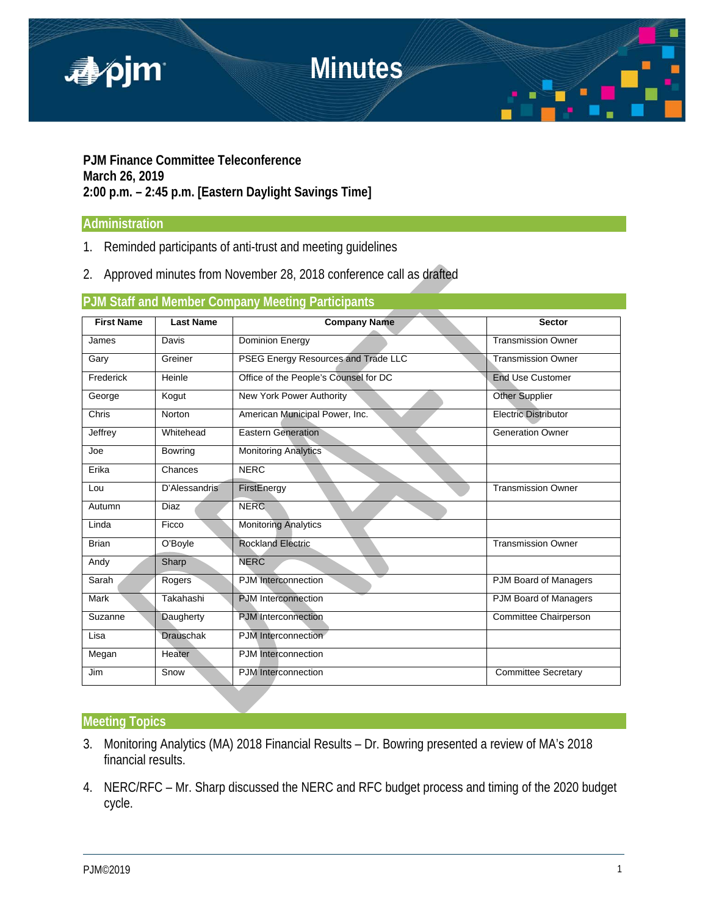

**PJM Finance Committee Teleconference March 26, 2019 2:00 p.m. – 2:45 p.m. [Eastern Daylight Savings Time]**

### **Administration**

- 1. Reminded participants of anti-trust and meeting guidelines
- 2. Approved minutes from November 28, 2018 conference call as drafted

# **PJM Staff and Member Company Meeting Participants**

| <b>First Name</b> | <b>Last Name</b> | <b>Company Name</b>                   | <b>Sector</b>               |
|-------------------|------------------|---------------------------------------|-----------------------------|
| James             | Davis            | <b>Dominion Energy</b>                | <b>Transmission Owner</b>   |
| Gary              | Greiner          | PSEG Energy Resources and Trade LLC   | <b>Transmission Owner</b>   |
| Frederick         | Heinle           | Office of the People's Counsel for DC | <b>End Use Customer</b>     |
| George            | Kogut            | New York Power Authority              | <b>Other Supplier</b>       |
| Chris             | Norton           | American Municipal Power, Inc.        | <b>Electric Distributor</b> |
| Jeffrey           | Whitehead        | <b>Eastern Generation</b>             | <b>Generation Owner</b>     |
| Joe               | <b>Bowring</b>   | <b>Monitoring Analytics</b>           |                             |
| Erika             | Chances          | <b>NERC</b>                           |                             |
| Lou               | D'Alessandris    | FirstEnergy                           | <b>Transmission Owner</b>   |
| Autumn            | Diaz             | <b>NERC</b>                           |                             |
| Linda             | Ficco            | <b>Monitoring Analytics</b>           |                             |
| <b>Brian</b>      | O'Boyle          | <b>Rockland Electric</b>              | <b>Transmission Owner</b>   |
| Andy              | Sharp            | <b>NERC</b>                           |                             |
| Sarah             | Rogers           | PJM Interconnection                   | PJM Board of Managers       |
| Mark              | Takahashi        | <b>PJM</b> Interconnection            | PJM Board of Managers       |
| Suzanne           | Daugherty        | <b>PJM</b> Interconnection            | Committee Chairperson       |
| Lisa              | <b>Drauschak</b> | PJM Interconnection                   |                             |
| Megan             | Heater           | <b>PJM</b> Interconnection            |                             |
| Jim               | Snow             | PJM Interconnection                   | <b>Committee Secretary</b>  |

### **Meeting Topics**

- 3. Monitoring Analytics (MA) 2018 Financial Results Dr. Bowring presented a review of MA's 2018 financial results.
- 4. NERC/RFC Mr. Sharp discussed the NERC and RFC budget process and timing of the 2020 budget cycle.